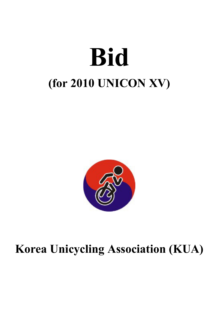# **Bid (for 2010 UNICON XV)**



## **Korea Unicycling Association (KUA)**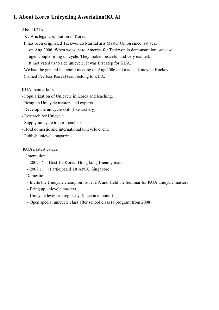## **1. About Korea Unicycling Association(KUA)**

## About KUA

- KUA is legal corporation in Korea.

 It has been originated Taekwondo Martial arts Master Union since last year on Aug.2006. When we went to America for Taekwondo demonstration, we saw aged couple riding unicycle. They looked peaceful and very excited. It motivated us to ride unicycle. It was first step for KUA.

 We had the general inaugural meeting on Aug.2006 and made a Unicycle Hockey (named Peerless Korea) team belong to KUA.

## KUA main affairs.

- Popularization of Unicycle in Korea and teaching.
- Bring up Unicycle masters and experts.
- Develop the unicycle skill (like archery)
- Research for Unicycle.
- Supply unicycle to our members.
- Hold domestic and international unicycle event.
- Publish unicycle magazine.

## KUA's latest career.

International

- 2007. 7 : Host 1st Korea- Hong kong friendly match.
- 2007.11 : Participated 1st APUC Singapore.

## Domestic

- Invite the Unicycle champion from JUA and Held the Seminar for KUA unicycle masters
- Bring up unicycle masters.
- Unicycle level test regularly. (once in a month)
- Open special unicycle class after school class (a program from 2008)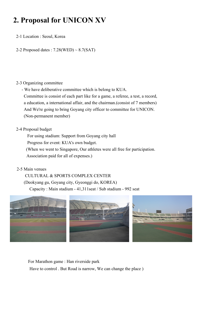## **2. Proposal for UNICON XV**

2-1 Location : Seoul, Korea

2-2 Proposed dates :  $7.28(WED) \sim 8.7(SAT)$ 

### 2-3 Organizing committee

 - We have deliberative committee which is belong to KUA. Committee is consist of each part like for a game, a referee, a test, a record, a education, a international affair, and the chairman.(consist of 7 members) And We're going to bring Goyang city officer to committee for UNICON. (Non-permanent member)

## 2-4 Proposal budget

For using stadium: Support from Goyang city hall

Progress for event: KUA's own budget.

 (When we went to Singapore, Our athletes were all free for participation. Association paid for all of expenses.)

## 2-5 Main venues

 CULTURAL & SPORTS COMPLEX CENTER (Deokyang gu, Goyang city, Gyeonggi do, KOREA) Capacity : Main stadium - 41,311seat / Sub stadium - 992 seat



 For Marathon game : Han riverside park Have to control . But Road is narrow, We can change the place )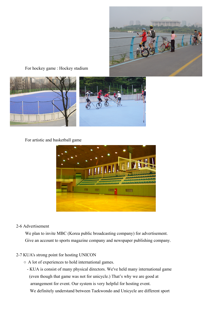

For hockey game : Hockey stadium



For artistic and basketball game



## 2-6 Advertisement

 We plan to invite MBC (Korea public broadcasting company) for advertisement. Give an account to sports magazine company and newspaper publishing company.

#### 2-7 KUA's strong point for hosting UNICON

- A lot of experiences to hold international games.
	- KUA is consist of many physical directors. We've held many international game (even though that game was not for unicycle.) That's why we are good at arrangement for event. Our system is very helpful for hosting event. We definitely understand between Taekwondo and Unicycle are different sport